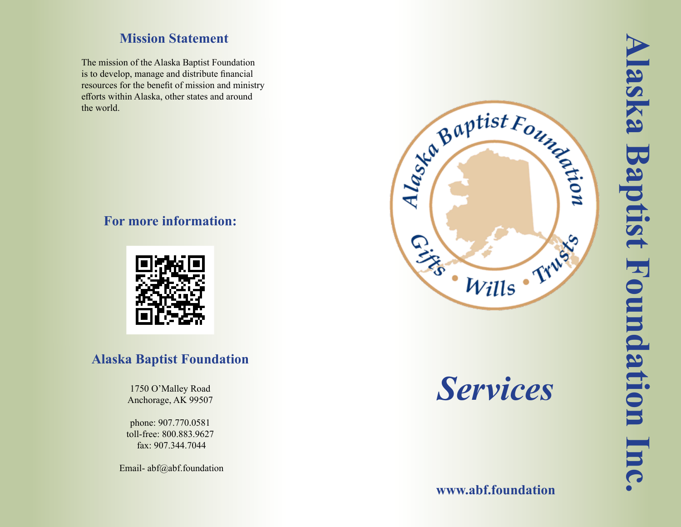### **Mission Statement**

The mission of the Alaska Baptist Foundation is to develop, manage and distribute financial resources for the benefit of mission and ministry efforts within Alaska, other states and around the world.

#### **For more information:**



### **Alaska Baptist Foundation**

1750 O'Malley Road Anchorage, AK 99507

phone: 907.770.0581 toll-free: 800.883.9627 fax: 907.344.7044

Email-abf@abf.foundation



*Services*

**www.abf.foundation**